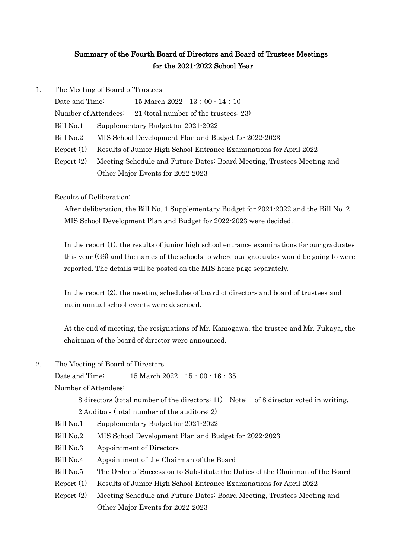## Summary of the Fourth Board of Directors and Board of Trustees Meetings for the 2021-2022 School Year

| 1. | The Meeting of Board of Trustees       |                                                                    |                                                                        |  |
|----|----------------------------------------|--------------------------------------------------------------------|------------------------------------------------------------------------|--|
|    | Date and Time:<br>Number of Attendees: |                                                                    | $15$ March $2022 \quad 13:00 \cdot 14:10$                              |  |
|    |                                        |                                                                    | 21 (total number of the trustees: 23)                                  |  |
|    | Bill No.1                              | Supplementary Budget for 2021-2022                                 |                                                                        |  |
|    | Bill No.2                              |                                                                    | MIS School Development Plan and Budget for 2022-2023                   |  |
|    | Report(1)                              | Results of Junior High School Entrance Examinations for April 2022 |                                                                        |  |
|    | Report (2)                             |                                                                    | Meeting Schedule and Future Dates: Board Meeting, Trustees Meeting and |  |
|    |                                        |                                                                    | Other Major Events for 2022-2023                                       |  |

Results of Deliberation:

After deliberation, the Bill No. 1 Supplementary Budget for 2021-2022 and the Bill No. 2 MIS School Development Plan and Budget for 2022-2023 were decided.

In the report (1), the results of junior high school entrance examinations for our graduates this year (G6) and the names of the schools to where our graduates would be going to were reported. The details will be posted on the MIS home page separately.

In the report (2), the meeting schedules of board of directors and board of trustees and main annual school events were described.

At the end of meeting, the resignations of Mr. Kamogawa, the trustee and Mr. Fukaya, the chairman of the board of director were announced.

2. The Meeting of Board of Directors

Date and Time: 15 March 2022 15:00 - 16:35

Number of Attendees:

8 directors (total number of the directors: 11) Note: 1 of 8 director voted in writing.

- 2 Auditors (total number of the auditors: 2)
- Bill No.1 Supplementary Budget for 2021-2022
- Bill No.2 MIS School Development Plan and Budget for 2022-2023
- Bill No.3 Appointment of Directors
- Bill No.4 Appointment of the Chairman of the Board
- Bill No.5 The Order of Succession to Substitute the Duties of the Chairman of the Board
- Report (1) Results of Junior High School Entrance Examinations for April 2022
- Report (2) Meeting Schedule and Future Dates: Board Meeting, Trustees Meeting and Other Major Events for 2022-2023